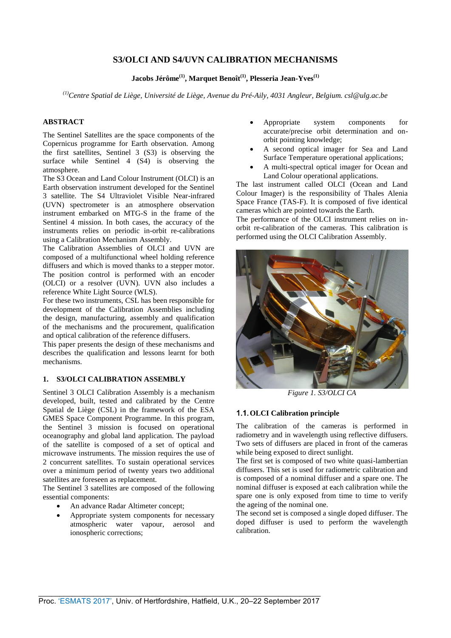## **S3/OLCI AND S4/UVN CALIBRATION MECHANISMS**

**Jacobs Jérôme(1), Marquet Benoît(1) , Plesseria Jean-Yves(1)**

*(1)Centre Spatial de Liège, Université de Liège, Avenue du Pré-Aily, 4031 Angleur, Belgium. csl@ulg.ac.be* 

## **ABSTRACT**

The Sentinel Satellites are the space components of the Copernicus programme for Earth observation. Among the first satellites, Sentinel 3 (S3) is observing the surface while Sentinel 4 (S4) is observing the atmosphere.

The S3 Ocean and Land Colour Instrument (OLCI) is an Earth observation instrument developed for the Sentinel 3 satellite. The S4 Ultraviolet Visible Near-infrared (UVN) spectrometer is an atmosphere observation instrument embarked on MTG-S in the frame of the Sentinel 4 mission. In both cases, the accuracy of the instruments relies on periodic in-orbit re-calibrations using a Calibration Mechanism Assembly.

The Calibration Assemblies of OLCI and UVN are composed of a multifunctional wheel holding reference diffusers and which is moved thanks to a stepper motor. The position control is performed with an encoder (OLCI) or a resolver (UVN). UVN also includes a reference White Light Source (WLS).

For these two instruments, CSL has been responsible for development of the Calibration Assemblies including the design, manufacturing, assembly and qualification of the mechanisms and the procurement, qualification and optical calibration of the reference diffusers.

This paper presents the design of these mechanisms and describes the qualification and lessons learnt for both mechanisms.

### **1. S3/OLCI CALIBRATION ASSEMBLY**

Sentinel 3 OLCI Calibration Assembly is a mechanism developed, built, tested and calibrated by the Centre Spatial de Liège (CSL) in the framework of the ESA GMES Space Component Programme. In this program, the Sentinel 3 mission is focused on operational oceanography and global land application. The payload of the satellite is composed of a set of optical and microwave instruments. The mission requires the use of 2 concurrent satellites. To sustain operational services over a minimum period of twenty years two additional satellites are foreseen as replacement.

The Sentinel 3 satellites are composed of the following essential components:

- An advance Radar Altimeter concept;
- Appropriate system components for necessary atmospheric water vapour, aerosol and ionospheric corrections;
- Appropriate system components for accurate/precise orbit determination and onorbit pointing knowledge;
- A second optical imager for Sea and Land Surface Temperature operational applications;
- A multi-spectral optical imager for Ocean and Land Colour operational applications.

The last instrument called OLCI (Ocean and Land Colour Imager) is the responsibility of Thales Alenia Space France (TAS-F). It is composed of five identical cameras which are pointed towards the Earth.

The performance of the OLCI instrument relies on inorbit re-calibration of the cameras. This calibration is performed using the OLCI Calibration Assembly.



*Figure 1. S3/OLCI CA*

### 1.1.**OLCI Calibration principle**

The calibration of the cameras is performed in radiometry and in wavelength using reflective diffusers. Two sets of diffusers are placed in front of the cameras while being exposed to direct sunlight.

The first set is composed of two white quasi-lambertian diffusers. This set is used for radiometric calibration and is composed of a nominal diffuser and a spare one. The nominal diffuser is exposed at each calibration while the spare one is only exposed from time to time to verify the ageing of the nominal one.

The second set is composed a single doped diffuser. The doped diffuser is used to perform the wavelength calibration.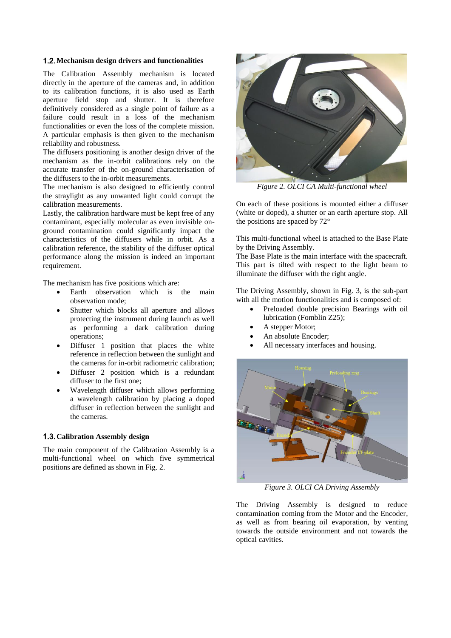#### 1.2.**Mechanism design drivers and functionalities**

The Calibration Assembly mechanism is located directly in the aperture of the cameras and, in addition to its calibration functions, it is also used as Earth aperture field stop and shutter. It is therefore definitively considered as a single point of failure as a failure could result in a loss of the mechanism functionalities or even the loss of the complete mission. A particular emphasis is then given to the mechanism reliability and robustness.

The diffusers positioning is another design driver of the mechanism as the in-orbit calibrations rely on the accurate transfer of the on-ground characterisation of the diffusers to the in-orbit measurements.

The mechanism is also designed to efficiently control the straylight as any unwanted light could corrupt the calibration measurements.

Lastly, the calibration hardware must be kept free of any contaminant, especially molecular as even invisible onground contamination could significantly impact the characteristics of the diffusers while in orbit. As a calibration reference, the stability of the diffuser optical performance along the mission is indeed an important requirement.

The mechanism has five positions which are:

- Earth observation which is the main observation mode;
- Shutter which blocks all aperture and allows protecting the instrument during launch as well as performing a dark calibration during operations;
- Diffuser 1 position that places the white reference in reflection between the sunlight and the cameras for in-orbit radiometric calibration;
- Diffuser 2 position which is a redundant diffuser to the first one;
- Wavelength diffuser which allows performing a wavelength calibration by placing a doped diffuser in reflection between the sunlight and the cameras.

#### 1.3.**Calibration Assembly design**

The main component of the Calibration Assembly is a multi-functional wheel on which five symmetrical positions are defined as shown in Fig. [2.](#page-1-0)



*Figure 2. OLCI CA Multi-functional wheel*

<span id="page-1-0"></span>On each of these positions is mounted either a diffuser (white or doped), a shutter or an earth aperture stop. All the positions are spaced by 72°

This multi-functional wheel is attached to the Base Plate by the Driving Assembly.

The Base Plate is the main interface with the spacecraft. This part is tilted with respect to the light beam to illuminate the diffuser with the right angle.

The Driving Assembly, shown in Fig. [3,](#page-1-1) is the sub-part with all the motion functionalities and is composed of:

- Preloaded double precision Bearings with oil lubrication (Fomblin Z25);
- A stepper Motor;
- An absolute Encoder;
- All necessary interfaces and housing.



*Figure 3. OLCI CA Driving Assembly*

<span id="page-1-1"></span>The Driving Assembly is designed to reduce contamination coming from the Motor and the Encoder, as well as from bearing oil evaporation, by venting towards the outside environment and not towards the optical cavities.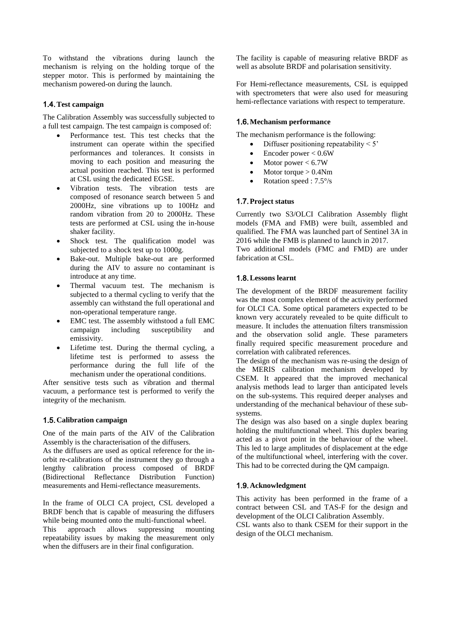To withstand the vibrations during launch the mechanism is relying on the holding torque of the stepper motor. This is performed by maintaining the mechanism powered-on during the launch.

## 1.4.**Test campaign**

The Calibration Assembly was successfully subjected to a full test campaign. The test campaign is composed of:

- Performance test. This test checks that the instrument can operate within the specified performances and tolerances. It consists in moving to each position and measuring the actual position reached. This test is performed at CSL using the dedicated EGSE.
- Vibration tests. The vibration tests are composed of resonance search between 5 and 2000Hz, sine vibrations up to 100Hz and random vibration from 20 to 2000Hz. These tests are performed at CSL using the in-house shaker facility.
- Shock test. The qualification model was subjected to a shock test up to 1000g.
- Bake-out. Multiple bake-out are performed during the AIV to assure no contaminant is introduce at any time.
- Thermal vacuum test. The mechanism is subjected to a thermal cycling to verify that the assembly can withstand the full operational and non-operational temperature range.
- EMC test. The assembly withstood a full EMC campaign including susceptibility and emissivity.
- Lifetime test. During the thermal cycling, a lifetime test is performed to assess the performance during the full life of the mechanism under the operational conditions.

After sensitive tests such as vibration and thermal vacuum, a performance test is performed to verify the integrity of the mechanism.

### 1.5.**Calibration campaign**

One of the main parts of the AIV of the Calibration Assembly is the characterisation of the diffusers.

As the diffusers are used as optical reference for the inorbit re-calibrations of the instrument they go through a lengthy calibration process composed of BRDF (Bidirectional Reflectance Distribution Function) measurements and Hemi-reflectance measurements.

In the frame of OLCI CA project, CSL developed a BRDF bench that is capable of measuring the diffusers while being mounted onto the multi-functional wheel. This approach allows suppressing mounting repeatability issues by making the measurement only when the diffusers are in their final configuration.

The facility is capable of measuring relative BRDF as well as absolute BRDF and polarisation sensitivity.

For Hemi-reflectance measurements, CSL is equipped with spectrometers that were also used for measuring hemi-reflectance variations with respect to temperature.

### 1.6.**Mechanism performance**

The mechanism performance is the following:

- Diffuser positioning repeatability  $\leq 5$ '
- Encoder power < 0.6W
- $\bullet$  Motor power < 6.7W
- Motor torque > 0.4Nm
- Rotation speed : 7.5°/s

## 1.7.**Project status**

Currently two S3/OLCI Calibration Assembly flight models (FMA and FMB) were built, assembled and qualified. The FMA was launched part of Sentinel 3A in 2016 while the FMB is planned to launch in 2017.

Two additional models (FMC and FMD) are under fabrication at CSL.

## 1.8.**Lessons learnt**

The development of the BRDF measurement facility was the most complex element of the activity performed for OLCI CA. Some optical parameters expected to be known very accurately revealed to be quite difficult to measure. It includes the attenuation filters transmission and the observation solid angle. These parameters finally required specific measurement procedure and correlation with calibrated references.

The design of the mechanism was re-using the design of the MERIS calibration mechanism developed by CSEM. It appeared that the improved mechanical analysis methods lead to larger than anticipated levels on the sub-systems. This required deeper analyses and understanding of the mechanical behaviour of these subsystems.

The design was also based on a single duplex bearing holding the multifunctional wheel. This duplex bearing acted as a pivot point in the behaviour of the wheel. This led to large amplitudes of displacement at the edge of the multifunctional wheel, interfering with the cover. This had to be corrected during the QM campaign.

## 1.9.**Acknowledgment**

This activity has been performed in the frame of a contract between CSL and TAS-F for the design and development of the OLCI Calibration Assembly. CSL wants also to thank CSEM for their support in the design of the OLCI mechanism.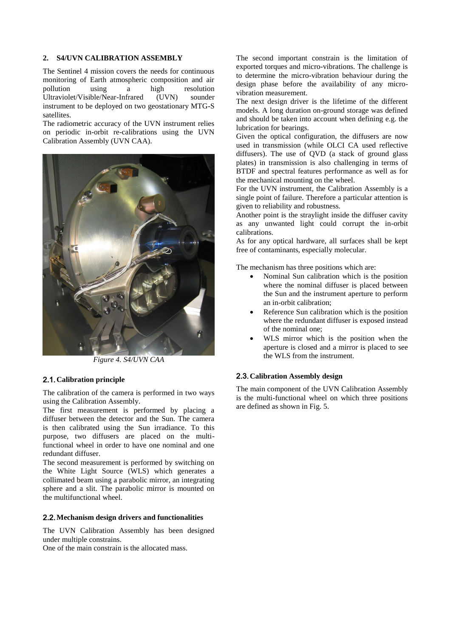#### **2. S4/UVN CALIBRATION ASSEMBLY**

The Sentinel 4 mission covers the needs for continuous monitoring of Earth atmospheric composition and air pollution using a high resolution Ultraviolet/Visible/Near-Infrared (UVN) sounder instrument to be deployed on two geostationary MTG-S satellites.

The radiometric accuracy of the UVN instrument relies on periodic in-orbit re-calibrations using the UVN Calibration Assembly (UVN CAA).



*Figure 4. S4/UVN CAA*

### 2.1.**Calibration principle**

The calibration of the camera is performed in two ways using the Calibration Assembly.

The first measurement is performed by placing a diffuser between the detector and the Sun. The camera is then calibrated using the Sun irradiance. To this purpose, two diffusers are placed on the multifunctional wheel in order to have one nominal and one redundant diffuser.

The second measurement is performed by switching on the White Light Source (WLS) which generates a collimated beam using a parabolic mirror, an integrating sphere and a slit. The parabolic mirror is mounted on the multifunctional wheel.

### 2.2.**Mechanism design drivers and functionalities**

The UVN Calibration Assembly has been designed under multiple constrains.

One of the main constrain is the allocated mass.

The second important constrain is the limitation of exported torques and micro-vibrations. The challenge is to determine the micro-vibration behaviour during the design phase before the availability of any microvibration measurement.

The next design driver is the lifetime of the different models. A long duration on-ground storage was defined and should be taken into account when defining e.g. the lubrication for bearings.

Given the optical configuration, the diffusers are now used in transmission (while OLCI CA used reflective diffusers). The use of QVD (a stack of ground glass plates) in transmission is also challenging in terms of BTDF and spectral features performance as well as for the mechanical mounting on the wheel.

For the UVN instrument, the Calibration Assembly is a single point of failure. Therefore a particular attention is given to reliability and robustness.

Another point is the straylight inside the diffuser cavity as any unwanted light could corrupt the in-orbit calibrations.

As for any optical hardware, all surfaces shall be kept free of contaminants, especially molecular.

The mechanism has three positions which are:

- Nominal Sun calibration which is the position where the nominal diffuser is placed between the Sun and the instrument aperture to perform an in-orbit calibration;
- Reference Sun calibration which is the position where the redundant diffuser is exposed instead of the nominal one;
- WLS mirror which is the position when the aperture is closed and a mirror is placed to see the WLS from the instrument.

### 2.3.**Calibration Assembly design**

The main component of the UVN Calibration Assembly is the multi-functional wheel on which three positions are defined as shown in Fig. [5.](#page-4-0)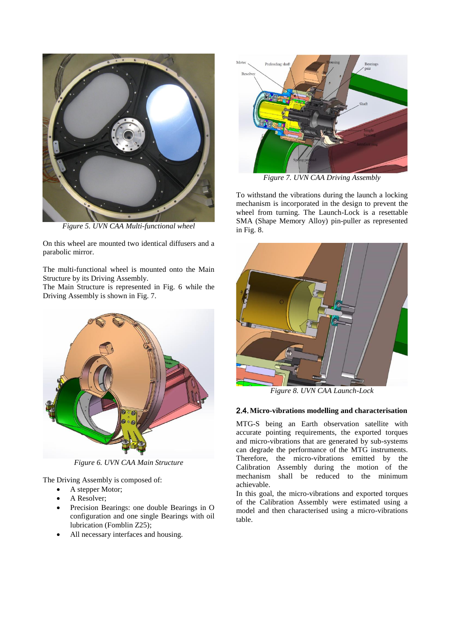

*Figure 5. UVN CAA Multi-functional wheel*

<span id="page-4-0"></span>On this wheel are mounted two identical diffusers and a parabolic mirror.

The multi-functional wheel is mounted onto the Main Structure by its Driving Assembly.

The Main Structure is represented in Fig. [6](#page-4-1) while the Driving Assembly is shown in Fig. [7.](#page-4-2)



*Figure 6. UVN CAA Main Structure*

<span id="page-4-1"></span>The Driving Assembly is composed of:

- A stepper Motor;
- A Resolver;
- Precision Bearings: one double Bearings in O configuration and one single Bearings with oil lubrication (Fomblin Z25);
- All necessary interfaces and housing.



*Figure 7. UVN CAA Driving Assembly*

<span id="page-4-2"></span>To withstand the vibrations during the launch a locking mechanism is incorporated in the design to prevent the wheel from turning. The Launch-Lock is a resettable SMA (Shape Memory Alloy) pin-puller as represented in Fig. [8.](#page-4-3)



*Figure 8. UVN CAA Launch-Lock*

#### <span id="page-4-3"></span>2.4.**Micro-vibrations modelling and characterisation**

MTG-S being an Earth observation satellite with accurate pointing requirements, the exported torques and micro-vibrations that are generated by sub-systems can degrade the performance of the MTG instruments. Therefore, the micro-vibrations emitted by the Calibration Assembly during the motion of the mechanism shall be reduced to the minimum achievable.

In this goal, the micro-vibrations and exported torques of the Calibration Assembly were estimated using a model and then characterised using a micro-vibrations table.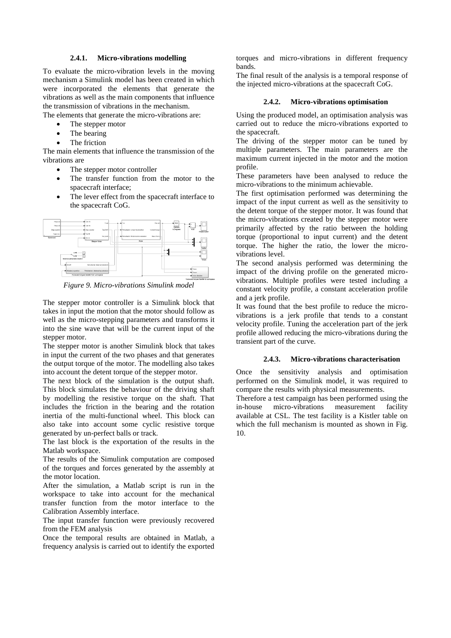#### **2.4.1. Micro-vibrations modelling**

To evaluate the micro-vibration levels in the moving mechanism a Simulink model has been created in which were incorporated the elements that generate the vibrations as well as the main components that influence the transmission of vibrations in the mechanism.

The elements that generate the micro-vibrations are:

- The stepper motor
- The bearing
- The friction

The main elements that influence the transmission of the vibrations are

- The stepper motor controller
- The transfer function from the motor to the spacecraft interface;
- The lever effect from the spacecraft interface to the spacecraft CoG.



*Figure 9. Micro-vibrations Simulink model*

The stepper motor controller is a Simulink block that takes in input the motion that the motor should follow as well as the micro-stepping parameters and transforms it into the sine wave that will be the current input of the stepper motor.

The stepper motor is another Simulink block that takes in input the current of the two phases and that generates the output torque of the motor. The modelling also takes into account the detent torque of the stepper motor.

The next block of the simulation is the output shaft. This block simulates the behaviour of the driving shaft by modelling the resistive torque on the shaft. That includes the friction in the bearing and the rotation inertia of the multi-functional wheel. This block can also take into account some cyclic resistive torque generated by un-perfect balls or track.

The last block is the exportation of the results in the Matlab workspace.

The results of the Simulink computation are composed of the torques and forces generated by the assembly at the motor location.

After the simulation, a Matlab script is run in the workspace to take into account for the mechanical transfer function from the motor interface to the Calibration Assembly interface.

The input transfer function were previously recovered from the FEM analysis

Once the temporal results are obtained in Matlab, a frequency analysis is carried out to identify the exported torques and micro-vibrations in different frequency bands.

The final result of the analysis is a temporal response of the injected micro-vibrations at the spacecraft CoG.

#### **2.4.2. Micro-vibrations optimisation**

Using the produced model, an optimisation analysis was carried out to reduce the micro-vibrations exported to the spacecraft.

The driving of the stepper motor can be tuned by multiple parameters. The main parameters are the maximum current injected in the motor and the motion profile.

These parameters have been analysed to reduce the micro-vibrations to the minimum achievable.

The first optimisation performed was determining the impact of the input current as well as the sensitivity to the detent torque of the stepper motor. It was found that the micro-vibrations created by the stepper motor were primarily affected by the ratio between the holding torque (proportional to input current) and the detent torque. The higher the ratio, the lower the microvibrations level.

The second analysis performed was determining the impact of the driving profile on the generated microvibrations. Multiple profiles were tested including a constant velocity profile, a constant acceleration profile and a jerk profile.

It was found that the best profile to reduce the microvibrations is a jerk profile that tends to a constant velocity profile. Tuning the acceleration part of the jerk profile allowed reducing the micro-vibrations during the transient part of the curve.

#### **2.4.3. Micro-vibrations characterisation**

Once the sensitivity analysis and optimisation performed on the Simulink model, it was required to compare the results with physical measurements.

Therefore a test campaign has been performed using the in-house micro-vibrations measurement facility available at CSL. The test facility is a Kistler table on which the full mechanism is mounted as shown in Fig. [10.](#page-6-0)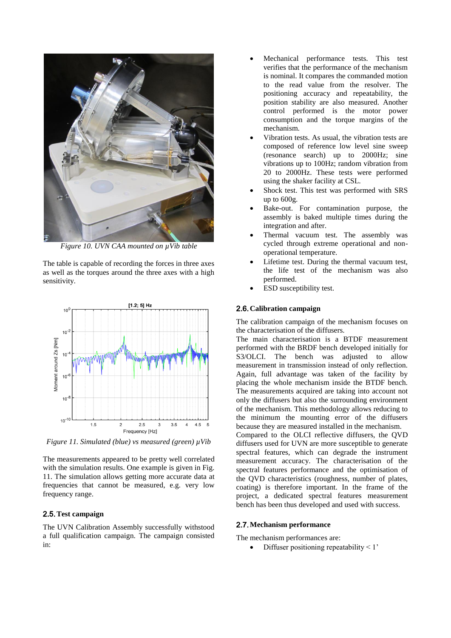

*Figure 10. UVN CAA mounted on µVib table*

<span id="page-6-0"></span>The table is capable of recording the forces in three axes as well as the torques around the three axes with a high sensitivity.



<span id="page-6-1"></span>*Figure 11. Simulated (blue) vs measured (green) µVib*

The measurements appeared to be pretty well correlated with the simulation results. One example is given in Fig. [11.](#page-6-1) The simulation allows getting more accurate data at frequencies that cannot be measured, e.g. very low frequency range.

### 2.5.**Test campaign**

The UVN Calibration Assembly successfully withstood a full qualification campaign. The campaign consisted in:

- Mechanical performance tests. This test verifies that the performance of the mechanism is nominal. It compares the commanded motion to the read value from the resolver. The positioning accuracy and repeatability, the position stability are also measured. Another control performed is the motor power consumption and the torque margins of the mechanism.
- Vibration tests. As usual, the vibration tests are composed of reference low level sine sweep (resonance search) up to 2000Hz; sine vibrations up to 100Hz; random vibration from 20 to 2000Hz. These tests were performed using the shaker facility at CSL.
- Shock test. This test was performed with SRS up to 600g.
- Bake-out. For contamination purpose, the assembly is baked multiple times during the integration and after.
- Thermal vacuum test. The assembly was cycled through extreme operational and nonoperational temperature.
- Lifetime test. During the thermal vacuum test, the life test of the mechanism was also performed.
- ESD susceptibility test.

## 2.6.**Calibration campaign**

The calibration campaign of the mechanism focuses on the characterisation of the diffusers.

The main characterisation is a BTDF measurement performed with the BRDF bench developed initially for S3/OLCI. The bench was adjusted to allow measurement in transmission instead of only reflection. Again, full advantage was taken of the facility by placing the whole mechanism inside the BTDF bench. The measurements acquired are taking into account not only the diffusers but also the surrounding environment of the mechanism. This methodology allows reducing to the minimum the mounting error of the diffusers because they are measured installed in the mechanism.

Compared to the OLCI reflective diffusers, the QVD diffusers used for UVN are more susceptible to generate spectral features, which can degrade the instrument measurement accuracy. The characterisation of the spectral features performance and the optimisation of the QVD characteristics (roughness, number of plates, coating) is therefore important. In the frame of the project, a dedicated spectral features measurement bench has been thus developed and used with success.

## 2.7.**Mechanism performance**

The mechanism performances are:

Diffuser positioning repeatability < 1'